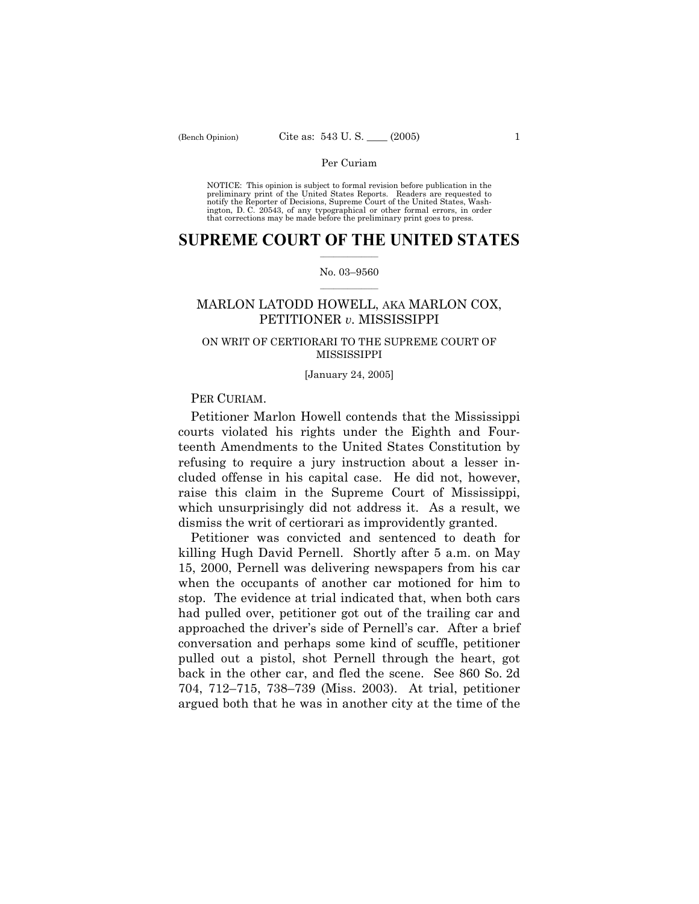NOTICE: This opinion is subject to formal revision before publication in the preliminary print of the United States Reports. Readers are requested to notify the Reporter of Decisions, Supreme Court of the United States, Washington, D. C. 20543, of any typographical or other formal errors, in order that corrections may be made before the preliminary print goes to press.

### **SUPREME COURT OF THE UNITED STATES**  $\frac{1}{2}$  ,  $\frac{1}{2}$  ,  $\frac{1}{2}$  ,  $\frac{1}{2}$  ,  $\frac{1}{2}$  ,  $\frac{1}{2}$  ,  $\frac{1}{2}$

#### No. 03-9560  $\mathcal{L}=\mathcal{L}$

# MARLON LATODD HOWELL, AKA MARLON COX, PETITIONER *v.* MISSISSIPPI

## ON WRIT OF CERTIORARI TO THE SUPREME COURT OF MISSISSIPPI

#### [January 24, 2005]

# PER CURIAM.

 Petitioner Marlon Howell contends that the Mississippi courts violated his rights under the Eighth and Fourteenth Amendments to the United States Constitution by refusing to require a jury instruction about a lesser included offense in his capital case. He did not, however, raise this claim in the Supreme Court of Mississippi, which unsurprisingly did not address it. As a result, we dismiss the writ of certiorari as improvidently granted.

 Petitioner was convicted and sentenced to death for killing Hugh David Pernell. Shortly after 5 a.m. on May 15, 2000, Pernell was delivering newspapers from his car when the occupants of another car motioned for him to stop. The evidence at trial indicated that, when both cars had pulled over, petitioner got out of the trailing car and approached the driver's side of Pernell's car. After a brief conversation and perhaps some kind of scuffle, petitioner pulled out a pistol, shot Pernell through the heart, got back in the other car, and fled the scene. See 860 So. 2d 704, 712–715, 738–739 (Miss. 2003). At trial, petitioner argued both that he was in another city at the time of the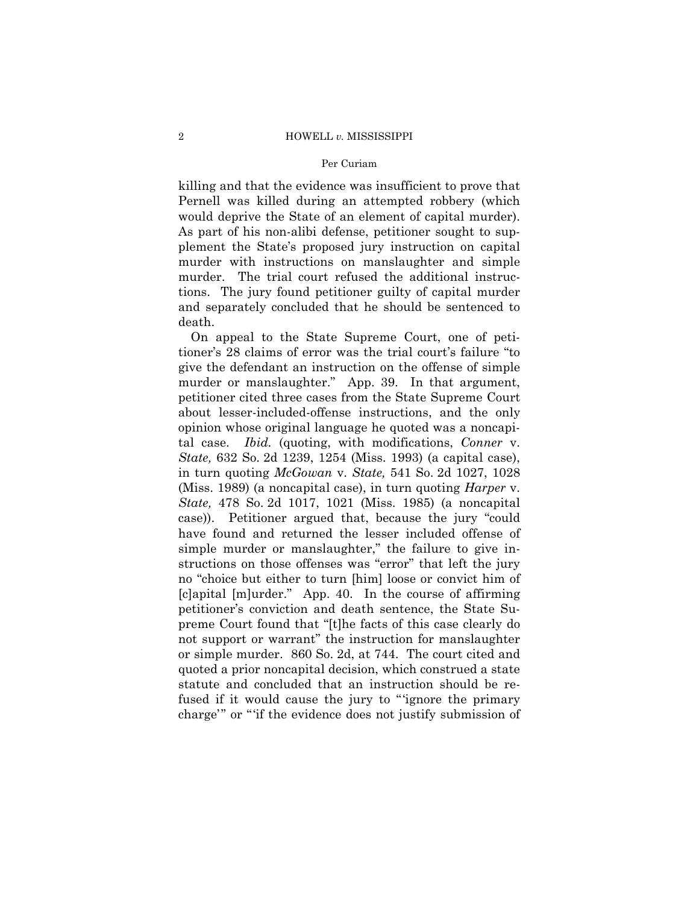#### 2 HOWELL *v.* MISSISSIPPI

#### Per Curiam

killing and that the evidence was insufficient to prove that Pernell was killed during an attempted robbery (which would deprive the State of an element of capital murder). As part of his non-alibi defense, petitioner sought to supplement the Stateís proposed jury instruction on capital murder with instructions on manslaughter and simple murder. The trial court refused the additional instructions. The jury found petitioner guilty of capital murder and separately concluded that he should be sentenced to death.

 On appeal to the State Supreme Court, one of petitioner's 28 claims of error was the trial court's failure "to give the defendant an instruction on the offense of simple murder or manslaughter." App. 39. In that argument, petitioner cited three cases from the State Supreme Court about lesser-included-offense instructions, and the only opinion whose original language he quoted was a noncapital case. *Ibid.* (quoting, with modifications, *Conner* v. *State,* 632 So. 2d 1239, 1254 (Miss. 1993) (a capital case), in turn quoting *McGowan* v. *State,* 541 So. 2d 1027, 1028 (Miss. 1989) (a noncapital case), in turn quoting *Harper* v. *State,* 478 So. 2d 1017, 1021 (Miss. 1985) (a noncapital case)). Petitioner argued that, because the jury "could have found and returned the lesser included offense of simple murder or manslaughter," the failure to give instructions on those offenses was "error" that left the jury no "choice but either to turn [him] loose or convict him of [c]apital [m]urder.î App. 40. In the course of affirming petitionerís conviction and death sentence, the State Supreme Court found that "[t]he facts of this case clearly do not support or warrant" the instruction for manslaughter or simple murder. 860 So. 2d, at 744. The court cited and quoted a prior noncapital decision, which construed a state statute and concluded that an instruction should be refused if it would cause the jury to "ignore the primary charge" or "if the evidence does not justify submission of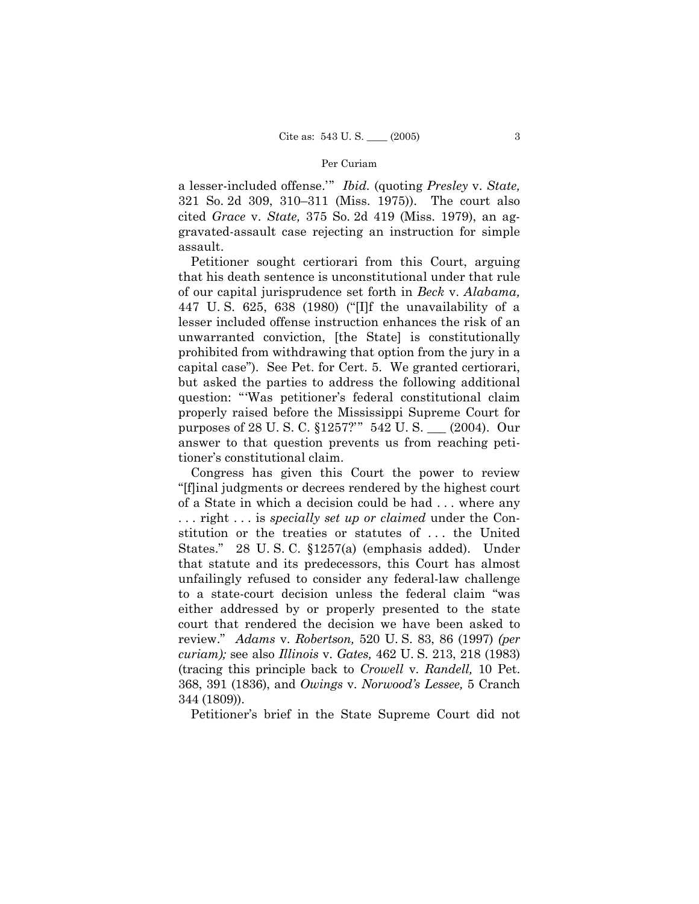a lesser-included offense.<sup>78</sup> *Ibid.* (quoting *Presley v. State,* 321 So. 2d 309, 310–311 (Miss. 1975)). The court also cited *Grace* v. *State,* 375 So. 2d 419 (Miss. 1979), an aggravated-assault case rejecting an instruction for simple assault.

 Petitioner sought certiorari from this Court, arguing that his death sentence is unconstitutional under that rule of our capital jurisprudence set forth in *Beck* v. *Alabama,* 447 U.S. 625, 638 (1980) ("[I]f the unavailability of a lesser included offense instruction enhances the risk of an unwarranted conviction, [the State] is constitutionally prohibited from withdrawing that option from the jury in a capital caseî). See Pet. for Cert. 5. We granted certiorari, but asked the parties to address the following additional question: "Was petitioner's federal constitutional claim properly raised before the Mississippi Supreme Court for purposes of 28 U.S.C. §1257?" 542 U.S. \_\_ (2004). Our answer to that question prevents us from reaching petitioner's constitutional claim.

 Congress has given this Court the power to review ì[f]inal judgments or decrees rendered by the highest court of a State in which a decision could be had . . . where any . . . right . . . is *specially set up or claimed* under the Constitution or the treaties or statutes of . . . the United States." 28 U.S.C. §1257(a) (emphasis added). Under that statute and its predecessors, this Court has almost unfailingly refused to consider any federal-law challenge to a state-court decision unless the federal claim "was either addressed by or properly presented to the state court that rendered the decision we have been asked to review.î *Adams* v. *Robertson,* 520 U. S. 83, 86 (1997) *(per curiam);* see also *Illinois* v. *Gates,* 462 U. S. 213, 218 (1983) (tracing this principle back to *Crowell* v. *Randell,* 10 Pet. 368, 391 (1836), and *Owings* v. *Norwoodís Lessee,* 5 Cranch 344 (1809)).

Petitioner's brief in the State Supreme Court did not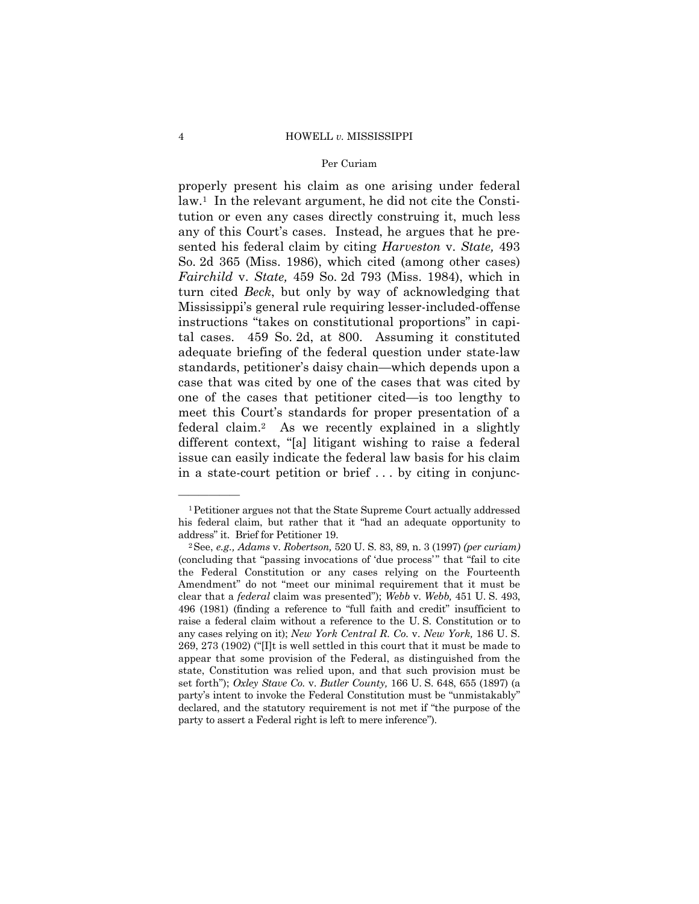#### 4 HOWELL *v.* MISSISSIPPI

### Per Curiam

properly present his claim as one arising under federal law.1 In the relevant argument, he did not cite the Constitution or even any cases directly construing it, much less any of this Court's cases. Instead, he argues that he presented his federal claim by citing *Harveston* v. *State,* 493 So. 2d 365 (Miss. 1986), which cited (among other cases) *Fairchild* v. *State,* 459 So. 2d 793 (Miss. 1984), which in turn cited *Beck*, but only by way of acknowledging that Mississippiís general rule requiring lesser-included-offense instructions "takes on constitutional proportions" in capital cases. 459 So. 2d, at 800. Assuming it constituted adequate briefing of the federal question under state-law standards, petitioner's daisy chain—which depends upon a case that was cited by one of the cases that was cited by one of the cases that petitioner cited—is too lengthy to meet this Court's standards for proper presentation of a federal claim.2 As we recently explained in a slightly different context, "[a] litigant wishing to raise a federal issue can easily indicate the federal law basis for his claim in a state-court petition or brief . . . by citing in conjunc-

óóóóóó

<sup>1</sup>Petitioner argues not that the State Supreme Court actually addressed his federal claim, but rather that it "had an adequate opportunity to

addressî it. Brief for Petitioner 19. 2See, *e.g., Adams* v. *Robertson,* 520 U. S. 83, 89, n. 3 (1997) *(per curiam)* (concluding that "passing invocations of 'due process'" that "fail to cite the Federal Constitution or any cases relying on the Fourteenth Amendment" do not "meet our minimal requirement that it must be clear that a *federal* claim was presentedî); *Webb* v. *Webb,* 451 U. S. 493, 496 (1981) (finding a reference to "full faith and credit" insufficient to raise a federal claim without a reference to the U. S. Constitution or to any cases relying on it); *New York Central R. Co.* v. *New York,* 186 U. S. 269, 273 (1902) ("[I]t is well settled in this court that it must be made to appear that some provision of the Federal, as distinguished from the state, Constitution was relied upon, and that such provision must be set forthî); *Oxley Stave Co.* v. *Butler County,* 166 U. S. 648, 655 (1897) (a party's intent to invoke the Federal Constitution must be "unmistakably" declared, and the statutory requirement is not met if "the purpose of the party to assert a Federal right is left to mere inference").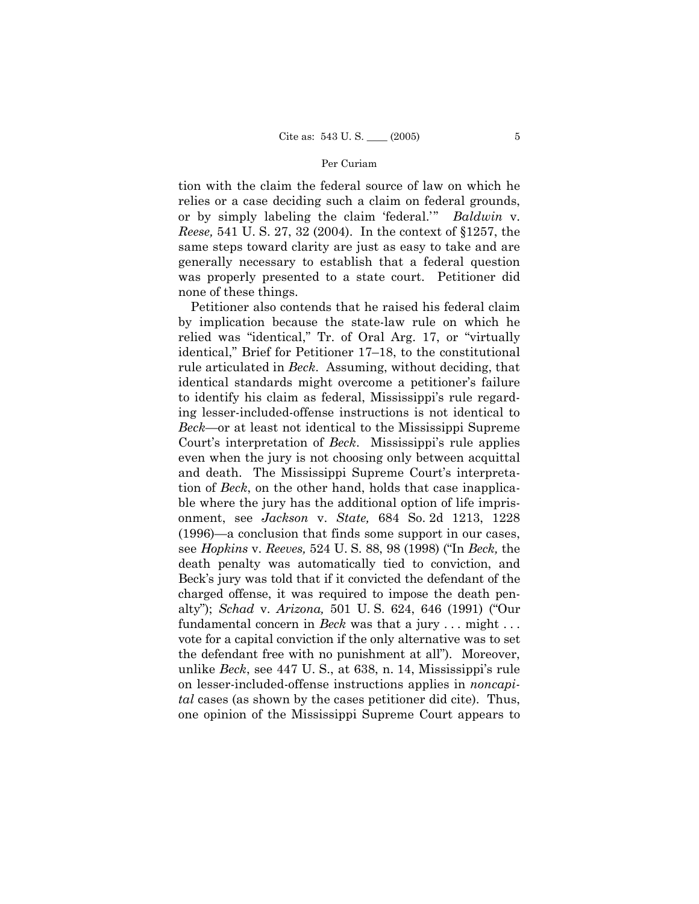tion with the claim the federal source of law on which he relies or a case deciding such a claim on federal grounds, or by simply labeling the claim 'federal.'" *Baldwin* v. *Reese,* 541 U. S. 27, 32 (2004). In the context of ß1257, the same steps toward clarity are just as easy to take and are generally necessary to establish that a federal question was properly presented to a state court. Petitioner did none of these things.

 Petitioner also contends that he raised his federal claim by implication because the state-law rule on which he relied was "identical," Tr. of Oral Arg. 17, or "virtually identical," Brief for Petitioner 17–18, to the constitutional rule articulated in *Beck*. Assuming, without deciding, that identical standards might overcome a petitioner's failure to identify his claim as federal, Mississippi's rule regarding lesser-included-offense instructions is not identical to *Beck*—or at least not identical to the Mississippi Supreme Court's interpretation of *Beck*. Mississippi's rule applies even when the jury is not choosing only between acquittal and death. The Mississippi Supreme Court's interpretation of *Beck*, on the other hand, holds that case inapplicable where the jury has the additional option of life imprisonment, see *Jackson* v. *State,* 684 So. 2d 1213, 1228  $(1996)$ —a conclusion that finds some support in our cases, see *Hopkins* v. *Reeves*, 524 U. S. 88, 98 (1998) ("In *Beck*, the death penalty was automatically tied to conviction, and Beck's jury was told that if it convicted the defendant of the charged offense, it was required to impose the death penalty"); *Schad* v. *Arizona*, 501 U.S. 624, 646 (1991) ("Our fundamental concern in *Beck* was that a jury . . . might . . . vote for a capital conviction if the only alternative was to set the defendant free with no punishment at allî). Moreover, unlike *Beck*, see 447 U. S., at 638, n. 14, Mississippiís rule on lesser-included-offense instructions applies in *noncapital* cases (as shown by the cases petitioner did cite). Thus, one opinion of the Mississippi Supreme Court appears to